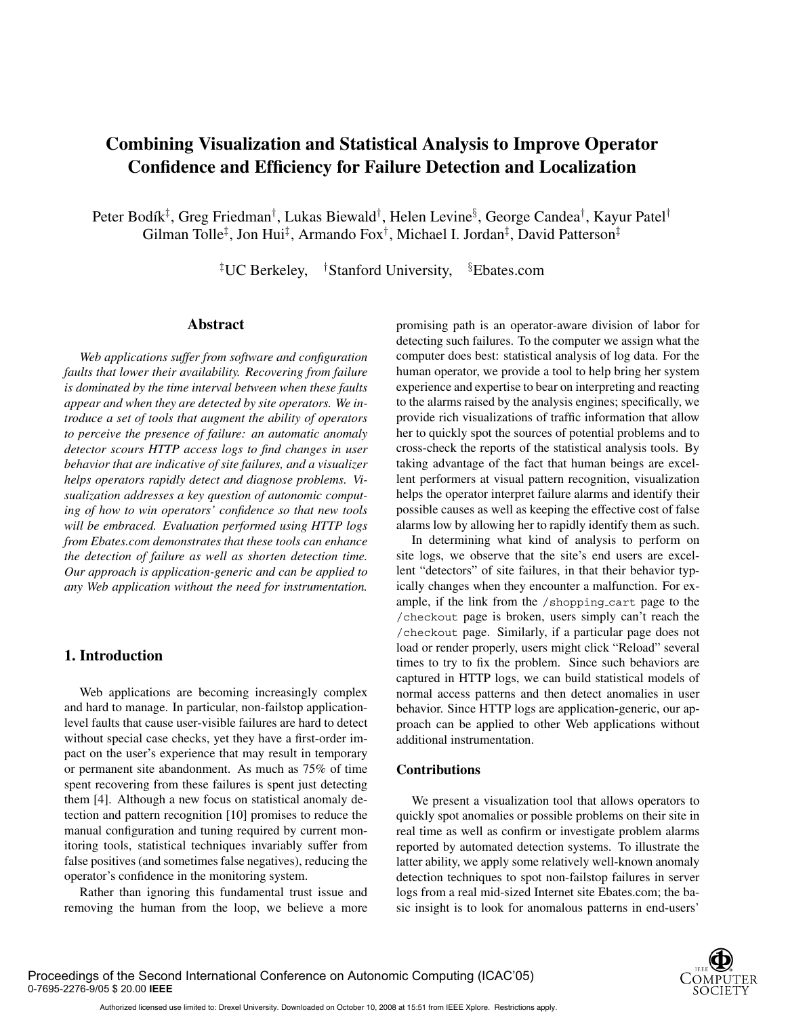# **Combining Visualization and Statistical Analysis to Improve Operator Confidence and Efficiency for Failure Detection and Localization**

Peter Bodík<sup>‡</sup>, Greg Friedman<sup>†</sup>, Lukas Biewald<sup>†</sup>, Helen Levine<sup>§</sup>, George Candea<sup>†</sup>, Kayur Patel<sup>†</sup> Gilman Tolle<sup>‡</sup>, Jon Hui<sup>‡</sup>, Armando Fox<sup>†</sup>, Michael I. Jordan<sup>‡</sup>, David Patterson<sup>‡</sup>

> <sup>‡</sup>UC Berkeley, <sup>†</sup>Stanford University, <sup>§</sup> <sup>§</sup>Ebates.com

# **Abstract**

*Web applications suffer from software and configuration faults that lower their availability. Recovering from failure is dominated by the time interval between when these faults appear and when they are detected by site operators. We introduce a set of tools that augment the ability of operators to perceive the presence of failure: an automatic anomaly detector scours HTTP access logs to find changes in user behavior that are indicative of site failures, and a visualizer helps operators rapidly detect and diagnose problems. Visualization addresses a key question of autonomic computing of how to win operators' confidence so that new tools will be embraced. Evaluation performed using HTTP logs from Ebates.com demonstrates that these tools can enhance the detection of failure as well as shorten detection time. Our approach is application-generic and can be applied to any Web application without the need for instrumentation.*

# **1. Introduction**

Web applications are becoming increasingly complex and hard to manage. In particular, non-failstop applicationlevel faults that cause user-visible failures are hard to detect without special case checks, yet they have a first-order impact on the user's experience that may result in temporary or permanent site abandonment. As much as 75% of time spent recovering from these failures is spent just detecting them [4]. Although a new focus on statistical anomaly detection and pattern recognition [10] promises to reduce the manual configuration and tuning required by current monitoring tools, statistical techniques invariably suffer from false positives (and sometimes false negatives), reducing the operator's confidence in the monitoring system.

Rather than ignoring this fundamental trust issue and removing the human from the loop, we believe a more promising path is an operator-aware division of labor for detecting such failures. To the computer we assign what the computer does best: statistical analysis of log data. For the human operator, we provide a tool to help bring her system experience and expertise to bear on interpreting and reacting to the alarms raised by the analysis engines; specifically, we provide rich visualizations of traffic information that allow her to quickly spot the sources of potential problems and to cross-check the reports of the statistical analysis tools. By taking advantage of the fact that human beings are excellent performers at visual pattern recognition, visualization helps the operator interpret failure alarms and identify their possible causes as well as keeping the effective cost of false alarms low by allowing her to rapidly identify them as such.

In determining what kind of analysis to perform on site logs, we observe that the site's end users are excellent "detectors" of site failures, in that their behavior typically changes when they encounter a malfunction. For example, if the link from the /shopping cart page to the /checkout page is broken, users simply can't reach the /checkout page. Similarly, if a particular page does not load or render properly, users might click "Reload" several times to try to fix the problem. Since such behaviors are captured in HTTP logs, we can build statistical models of normal access patterns and then detect anomalies in user behavior. Since HTTP logs are application-generic, our approach can be applied to other Web applications without additional instrumentation.

#### **Contributions**

We present a visualization tool that allows operators to quickly spot anomalies or possible problems on their site in real time as well as confirm or investigate problem alarms reported by automated detection systems. To illustrate the latter ability, we apply some relatively well-known anomaly detection techniques to spot non-failstop failures in server logs from a real mid-sized Internet site Ebates.com; the basic insight is to look for anomalous patterns in end-users'



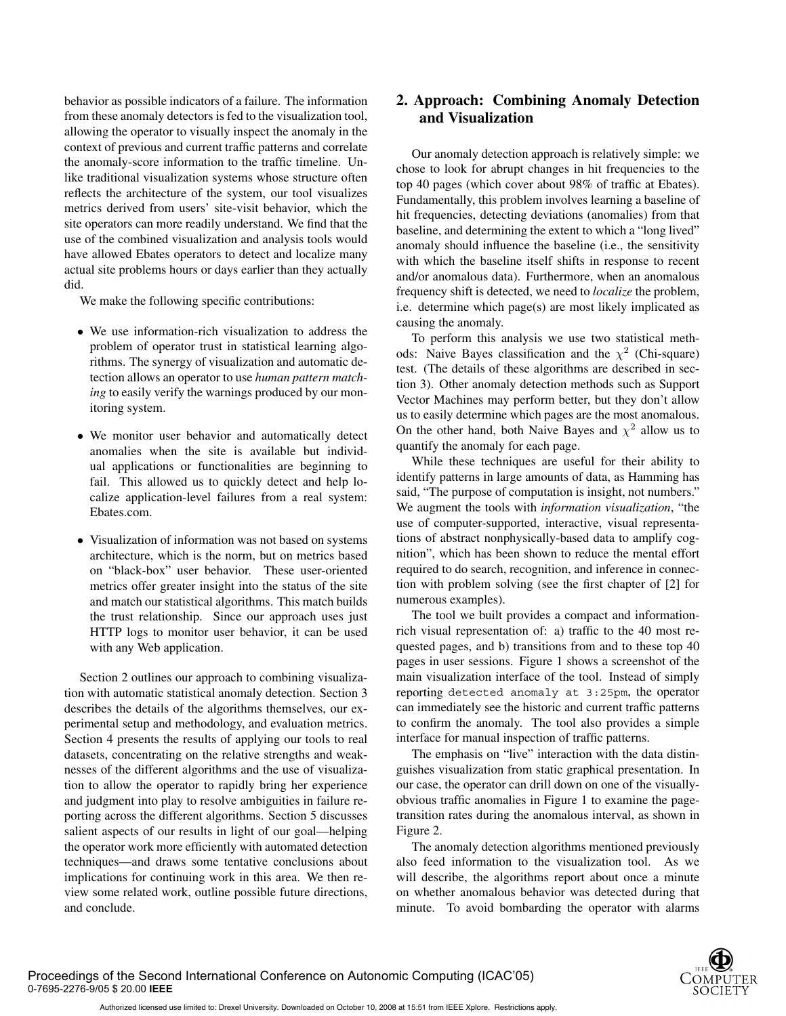behavior as possible indicators of a failure. The information from these anomaly detectors is fed to the visualization tool, allowing the operator to visually inspect the anomaly in the context of previous and current traffic patterns and correlate the anomaly-score information to the traffic timeline. Unlike traditional visualization systems whose structure often reflects the architecture of the system, our tool visualizes metrics derived from users' site-visit behavior, which the site operators can more readily understand. We find that the use of the combined visualization and analysis tools would have allowed Ebates operators to detect and localize many actual site problems hours or days earlier than they actually did.

We make the following specific contributions:

- We use information-rich visualization to address the problem of operator trust in statistical learning algorithms. The synergy of visualization and automatic detection allows an operator to use *human pattern matching* to easily verify the warnings produced by our monitoring system.
- We monitor user behavior and automatically detect anomalies when the site is available but individual applications or functionalities are beginning to fail. This allowed us to quickly detect and help localize application-level failures from a real system: Ebates.com.
- Visualization of information was not based on systems architecture, which is the norm, but on metrics based on "black-box" user behavior. These user-oriented metrics offer greater insight into the status of the site and match our statistical algorithms. This match builds the trust relationship. Since our approach uses just HTTP logs to monitor user behavior, it can be used with any Web application.

Section 2 outlines our approach to combining visualization with automatic statistical anomaly detection. Section 3 describes the details of the algorithms themselves, our experimental setup and methodology, and evaluation metrics. Section 4 presents the results of applying our tools to real datasets, concentrating on the relative strengths and weaknesses of the different algorithms and the use of visualization to allow the operator to rapidly bring her experience and judgment into play to resolve ambiguities in failure reporting across the different algorithms. Section 5 discusses salient aspects of our results in light of our goal—helping the operator work more efficiently with automated detection techniques—and draws some tentative conclusions about implications for continuing work in this area. We then review some related work, outline possible future directions, and conclude.

# **2. Approach: Combining Anomaly Detection and Visualization**

Our anomaly detection approach is relatively simple: we chose to look for abrupt changes in hit frequencies to the top 40 pages (which cover about 98% of traffic at Ebates). Fundamentally, this problem involves learning a baseline of hit frequencies, detecting deviations (anomalies) from that baseline, and determining the extent to which a "long lived" anomaly should influence the baseline (i.e., the sensitivity with which the baseline itself shifts in response to recent and/or anomalous data). Furthermore, when an anomalous frequency shift is detected, we need to *localize* the problem, i.e. determine which page(s) are most likely implicated as causing the anomaly.

To perform this analysis we use two statistical methods: Naive Bayes classification and the  $\chi^2$  (Chi-square) test. (The details of these algorithms are described in section 3). Other anomaly detection methods such as Support Vector Machines may perform better, but they don't allow us to easily determine which pages are the most anomalous. On the other hand, both Naive Bayes and  $\chi^2$  allow us to quantify the anomaly for each page.

While these techniques are useful for their ability to identify patterns in large amounts of data, as Hamming has said, "The purpose of computation is insight, not numbers." We augment the tools with *information visualization*, "the use of computer-supported, interactive, visual representations of abstract nonphysically-based data to amplify cognition", which has been shown to reduce the mental effort required to do search, recognition, and inference in connection with problem solving (see the first chapter of [2] for numerous examples).

The tool we built provides a compact and informationrich visual representation of: a) traffic to the 40 most requested pages, and b) transitions from and to these top 40 pages in user sessions. Figure 1 shows a screenshot of the main visualization interface of the tool. Instead of simply reporting detected anomaly at 3:25pm, the operator can immediately see the historic and current traffic patterns to confirm the anomaly. The tool also provides a simple interface for manual inspection of traffic patterns.

The emphasis on "live" interaction with the data distinguishes visualization from static graphical presentation. In our case, the operator can drill down on one of the visuallyobvious traffic anomalies in Figure 1 to examine the pagetransition rates during the anomalous interval, as shown in Figure 2.

The anomaly detection algorithms mentioned previously also feed information to the visualization tool. As we will describe, the algorithms report about once a minute on whether anomalous behavior was detected during that minute. To avoid bombarding the operator with alarms

Authorized licensed use limited to: Drexel University. Downloaded on October 10, 2008 at 15:51 from IEEE Xplore. Restrictions apply.

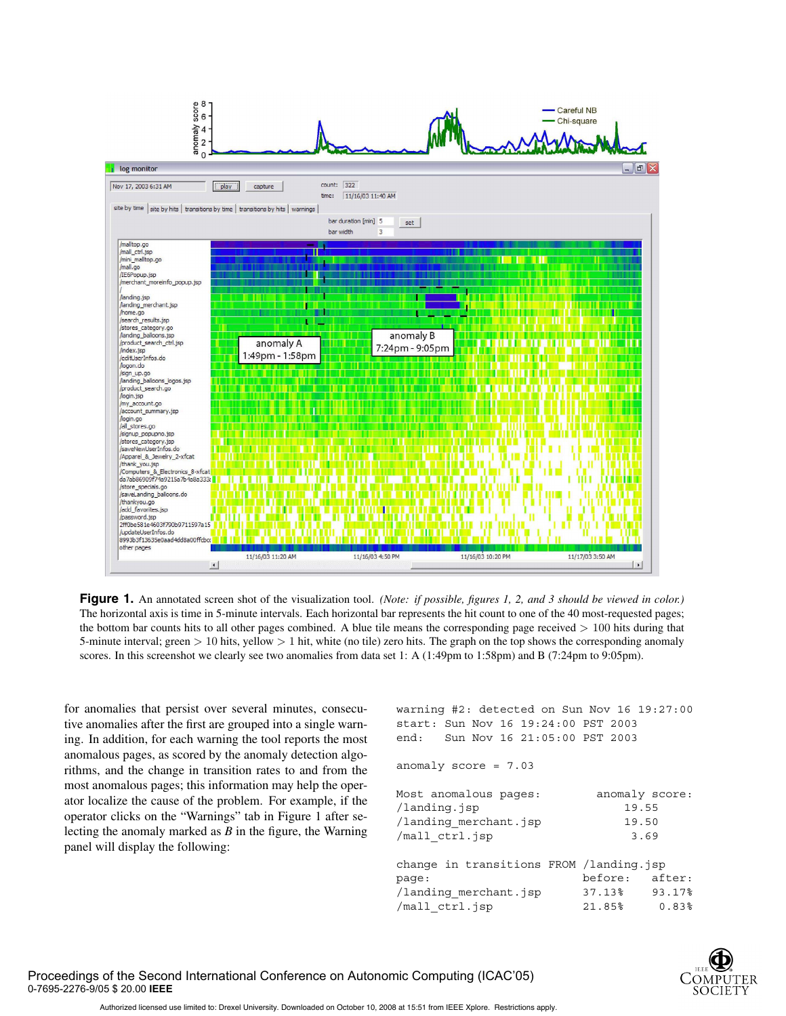

**Figure 1.** An annotated screen shot of the visualization tool. *(Note: if possible, figures 1, 2, and 3 should be viewed in color.)* The horizontal axis is time in 5-minute intervals. Each horizontal bar represents the hit count to one of the 40 most-requested pages; the bottom bar counts hits to all other pages combined. A blue tile means the corresponding page received > 100 hits during that 5-minute interval; green  $> 10$  hits, yellow  $> 1$  hit, white (no tile) zero hits. The graph on the top shows the corresponding anomaly scores. In this screenshot we clearly see two anomalies from data set 1: A (1:49pm to 1:58pm) and B (7:24pm to 9:05pm).

for anomalies that persist over several minutes, consecutive anomalies after the first are grouped into a single warning. In addition, for each warning the tool reports the most anomalous pages, as scored by the anomaly detection algorithms, and the change in transition rates to and from the most anomalous pages; this information may help the operator localize the cause of the problem. For example, if the operator clicks on the "Warnings" tab in Figure 1 after selecting the anomaly marked as *B* in the figure, the Warning panel will display the following:

warning #2: detected on Sun Nov 16 19:27:00 start: Sun Nov 16 19:24:00 PST 2003 end: Sun Nov 16 21:05:00 PST 2003

anomaly score = 7.03

| Most anomalous pages: | anomaly score: |
|-----------------------|----------------|
| /landing.jsp          | 19.55          |
| /landing merchant.jsp | 19.50          |
| /mall ctrl.jsp        | 3.69           |
|                       |                |

| change in transitions FROM /landing.jsp |                |        |  |
|-----------------------------------------|----------------|--------|--|
| page:                                   | before: after: |        |  |
| /landing merchant.jsp                   | 37.13%         | 93.17% |  |
| /mall ctrl.jsp                          | 21.85%         | 0.83%  |  |



Proceedings of the Second International Conference on Autonomic Computing (ICAC'05) 0-7695-2276-9/05 \$ 20.00 **IEEE**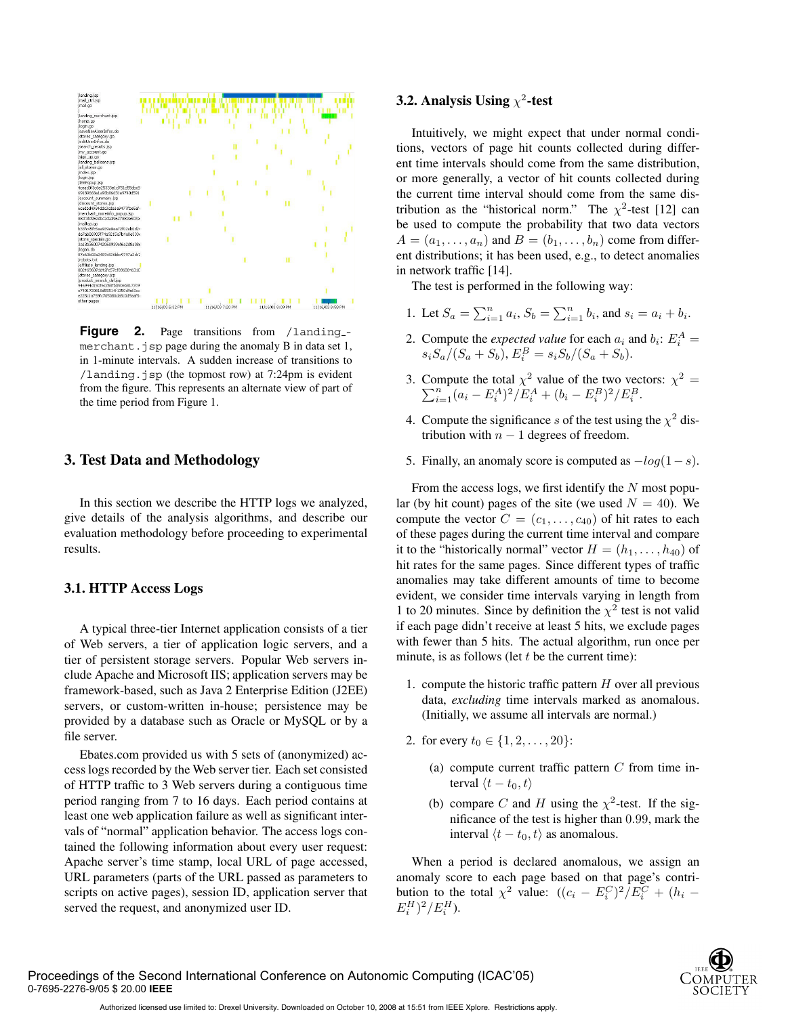

**Figure 2.** Page transitions from /landing merchant.jsp page during the anomaly B in data set 1, in 1-minute intervals. A sudden increase of transitions to /landing.jsp (the topmost row) at 7:24pm is evident from the figure. This represents an alternate view of part of the time period from Figure 1.

# **3. Test Data and Methodology**

In this section we describe the HTTP logs we analyzed, give details of the analysis algorithms, and describe our evaluation methodology before proceeding to experimental results.

#### **3.1. HTTP Access Logs**

A typical three-tier Internet application consists of a tier of Web servers, a tier of application logic servers, and a tier of persistent storage servers. Popular Web servers include Apache and Microsoft IIS; application servers may be framework-based, such as Java 2 Enterprise Edition (J2EE) servers, or custom-written in-house; persistence may be provided by a database such as Oracle or MySQL or by a file server.

Ebates.com provided us with 5 sets of (anonymized) access logs recorded by the Web server tier. Each set consisted of HTTP traffic to 3 Web servers during a contiguous time period ranging from 7 to 16 days. Each period contains at least one web application failure as well as significant intervals of "normal" application behavior. The access logs contained the following information about every user request: Apache server's time stamp, local URL of page accessed, URL parameters (parts of the URL passed as parameters to scripts on active pages), session ID, application server that served the request, and anonymized user ID.

# **3.2. Analysis Using** χ<sup>2</sup>**-test**

Intuitively, we might expect that under normal conditions, vectors of page hit counts collected during different time intervals should come from the same distribution, or more generally, a vector of hit counts collected during the current time interval should come from the same distribution as the "historical norm." The  $\chi^2$ -test [12] can be used to compute the probability that two data vectors  $A = (a_1, \ldots, a_n)$  and  $B = (b_1, \ldots, b_n)$  come from different distributions; it has been used, e.g., to detect anomalies in network traffic [14].

The test is performed in the following way:

- 1. Let  $S_a = \sum_{i=1}^n a_i$ ,  $S_b = \sum_{i=1}^n b_i$ , and  $s_i = a_i + b_i$ .
- 2. Compute the *expected value* for each  $a_i$  and  $b_i$ :  $E_i^A$  =  $s_i S_a / (S_a + S_b), E_i^B = s_i S_b / (S_a + S_b).$
- 3. Compute the total  $\chi^2$  value of the two vectors:  $\chi$ Compute the total  $\chi^2$  value of the two vectors:  $\chi^2 = \sum_{i=1}^n (a_i - E_i^A)^2 / E_i^A + (b_i - E_i^B)^2 / E_i^B$ .  $\sum_{i=1}^{n} (a_i - E_i^A)^2 / E_i^A + (b_i - E_i^B)^2 / E_i^B.$
- 4. Compute the significance s of the test using the  $\chi^2$  distribution with  $n - 1$  degrees of freedom.
- 5. Finally, an anomaly score is computed as  $-log(1-s)$ .

From the access logs, we first identify the  $N$  most popular (by hit count) pages of the site (we used  $N = 40$ ). We compute the vector  $C = (c_1, \ldots, c_{40})$  of hit rates to each of these pages during the current time interval and compare it to the "historically normal" vector  $H = (h_1, \ldots, h_{40})$  of hit rates for the same pages. Since different types of traffic anomalies may take different amounts of time to become evident, we consider time intervals varying in length from 1 to 20 minutes. Since by definition the  $\chi^2$  test is not valid if each page didn't receive at least 5 hits, we exclude pages with fewer than 5 hits. The actual algorithm, run once per minute, is as follows (let  $t$  be the current time):

- 1. compute the historic traffic pattern  $H$  over all previous data, *excluding* time intervals marked as anomalous. (Initially, we assume all intervals are normal.)
- 2. for every  $t_0 \in \{1, 2, \ldots, 20\}$ :
	- (a) compute current traffic pattern  $C$  from time interval  $\langle t - t_0, t \rangle$
	- (b) compare C and H using the  $\chi^2$ -test. If the significance of the test is higher than 0.99, mark the interval  $\langle t - t_0, t \rangle$  as anomalous.

When a period is declared anomalous, we assign an anomaly score to each page based on that page's contribution to the total  $\chi^2$  value:  $((c_i - E_i^C)^2 / E_i^C + (h_i (E_i^H)^2/E_i^H$ ).

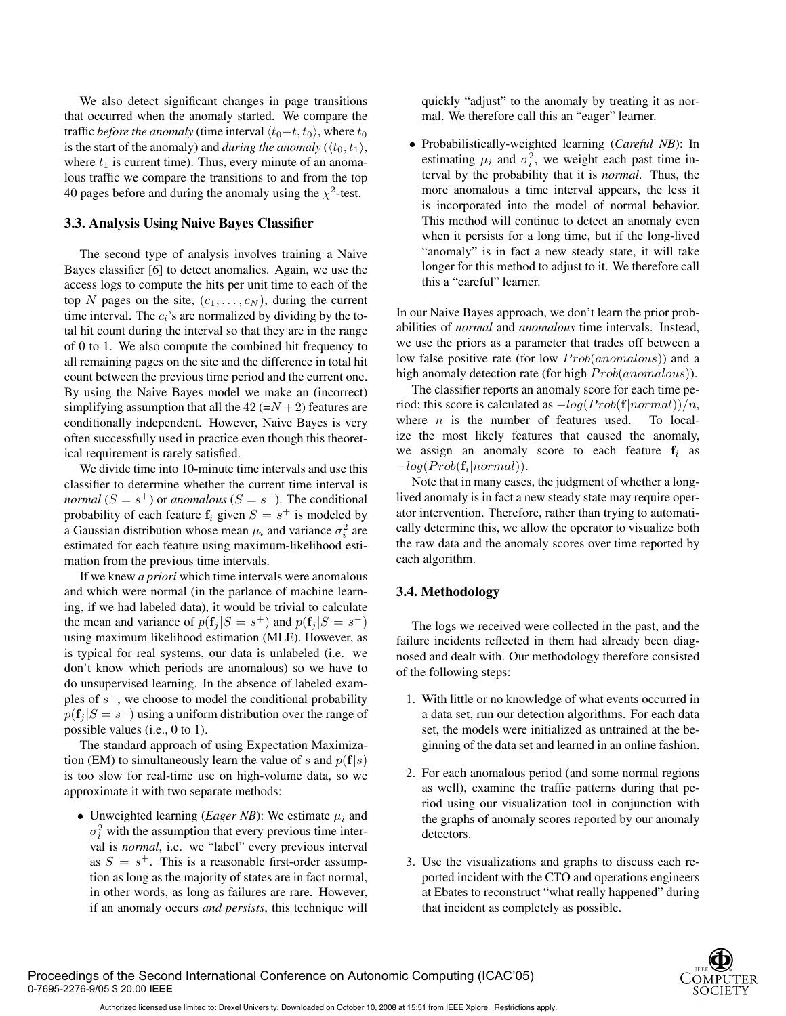We also detect significant changes in page transitions that occurred when the anomaly started. We compare the traffic *before the anomaly* (time interval  $\langle t_0-t, t_0 \rangle$ , where  $t_0$ is the start of the anomaly) and *during the anomaly* ( $\langle t_0, t_1 \rangle$ , where  $t_1$  is current time). Thus, every minute of an anomalous traffic we compare the transitions to and from the top 40 pages before and during the anomaly using the  $\chi^2$ -test.

#### **3.3. Analysis Using Naive Bayes Classifier**

The second type of analysis involves training a Naive Bayes classifier [6] to detect anomalies. Again, we use the access logs to compute the hits per unit time to each of the top N pages on the site,  $(c_1, \ldots, c_N)$ , during the current time interval. The  $c_i$ 's are normalized by dividing by the total hit count during the interval so that they are in the range of 0 to 1. We also compute the combined hit frequency to all remaining pages on the site and the difference in total hit count between the previous time period and the current one. By using the Naive Bayes model we make an (incorrect) simplifying assumption that all the  $42 (=N + 2)$  features are conditionally independent. However, Naive Bayes is very often successfully used in practice even though this theoretical requirement is rarely satisfied.

We divide time into 10-minute time intervals and use this classifier to determine whether the current time interval is *normal* ( $S = s^+$ ) or *anomalous* ( $S = s^-$ ). The conditional probability of each feature  $f_i$  given  $S = s^+$  is modeled by a Gaussian distribution whose mean  $\mu_i$  and variance  $\sigma_i^2$  are estimated for each feature using maximum-likelihood estimation from the previous time intervals.

If we knew *a priori* which time intervals were anomalous and which were normal (in the parlance of machine learning, if we had labeled data), it would be trivial to calculate the mean and variance of  $p(\mathbf{f}_i | S = s^+)$  and  $p(\mathbf{f}_i | S = s^-)$ using maximum likelihood estimation (MLE). However, as is typical for real systems, our data is unlabeled (i.e. we don't know which periods are anomalous) so we have to do unsupervised learning. In the absence of labeled examples of s−, we choose to model the conditional probability  $p(\mathbf{f}_i | S = s^-)$  using a uniform distribution over the range of possible values (i.e., 0 to 1).

The standard approach of using Expectation Maximization (EM) to simultaneously learn the value of s and  $p(f|s)$ is too slow for real-time use on high-volume data, so we approximate it with two separate methods:

• Unweighted learning (*Eager NB*): We estimate  $\mu_i$  and  $\sigma_i^2$  with the assumption that every previous time interval is *normal*, i.e. we "label" every previous interval as  $S = s^{+}$ . This is a reasonable first-order assumption as long as the majority of states are in fact normal, in other words, as long as failures are rare. However, if an anomaly occurs *and persists*, this technique will

quickly "adjust" to the anomaly by treating it as normal. We therefore call this an "eager" learner.

• Probabilistically-weighted learning (*Careful NB*): In estimating  $\mu_i$  and  $\sigma_i^2$ , we weight each past time interval by the probability that it is *normal*. Thus, the more anomalous a time interval appears, the less it is incorporated into the model of normal behavior. This method will continue to detect an anomaly even when it persists for a long time, but if the long-lived "anomaly" is in fact a new steady state, it will take longer for this method to adjust to it. We therefore call this a "careful" learner.

In our Naive Bayes approach, we don't learn the prior probabilities of *normal* and *anomalous* time intervals. Instead, we use the priors as a parameter that trades off between a low false positive rate (for low  $Prob(anomalous)$ ) and a high anomaly detection rate (for high  $Prob(anomalous)$ ).

The classifier reports an anomaly score for each time period; this score is calculated as  $-log(Prob(f|normal))/n$ ,<br>where *n* is the number of features used. To localwhere  $n$  is the number of features used. ize the most likely features that caused the anomaly, we assign an anomaly score to each feature  $f_i$  as  $-log(Prob(f_i|normal)).$ 

Note that in many cases, the judgment of whether a longlived anomaly is in fact a new steady state may require operator intervention. Therefore, rather than trying to automatically determine this, we allow the operator to visualize both the raw data and the anomaly scores over time reported by each algorithm.

# **3.4. Methodology**

The logs we received were collected in the past, and the failure incidents reflected in them had already been diagnosed and dealt with. Our methodology therefore consisted of the following steps:

- 1. With little or no knowledge of what events occurred in a data set, run our detection algorithms. For each data set, the models were initialized as untrained at the beginning of the data set and learned in an online fashion.
- 2. For each anomalous period (and some normal regions as well), examine the traffic patterns during that period using our visualization tool in conjunction with the graphs of anomaly scores reported by our anomaly detectors.
- 3. Use the visualizations and graphs to discuss each reported incident with the CTO and operations engineers at Ebates to reconstruct "what really happened" during that incident as completely as possible.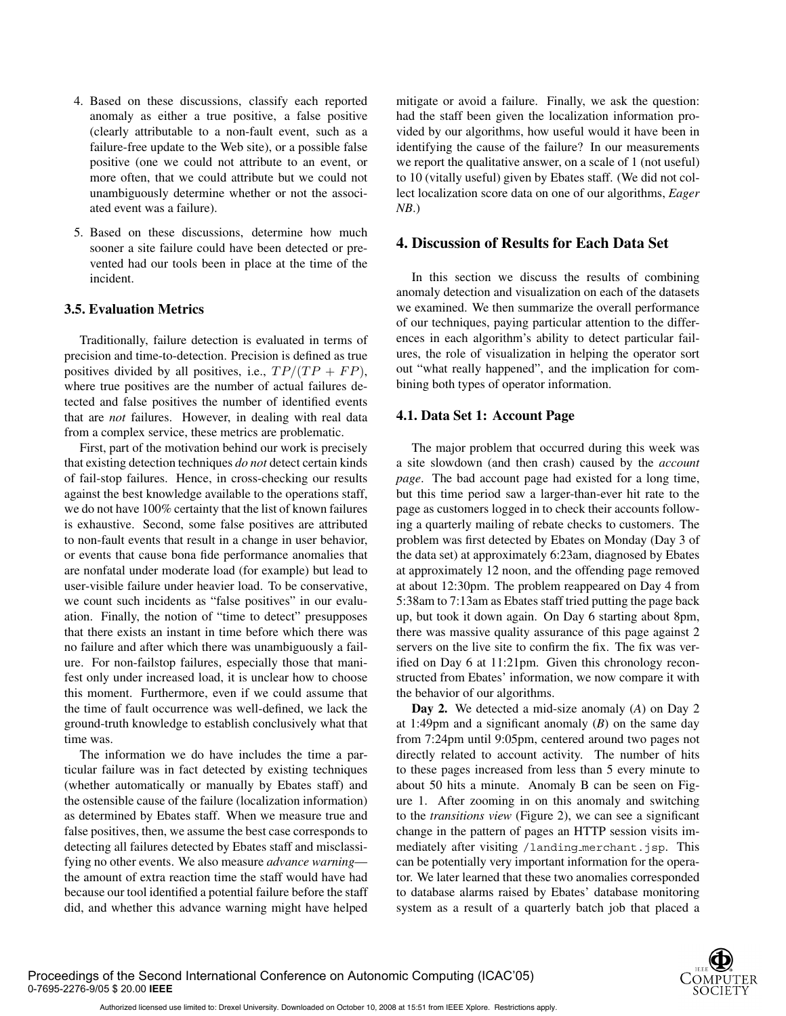- 4. Based on these discussions, classify each reported anomaly as either a true positive, a false positive (clearly attributable to a non-fault event, such as a failure-free update to the Web site), or a possible false positive (one we could not attribute to an event, or more often, that we could attribute but we could not unambiguously determine whether or not the associated event was a failure).
- 5. Based on these discussions, determine how much sooner a site failure could have been detected or prevented had our tools been in place at the time of the incident.

# **3.5. Evaluation Metrics**

Traditionally, failure detection is evaluated in terms of precision and time-to-detection. Precision is defined as true positives divided by all positives, i.e.,  $TP/(TP + FP)$ , where true positives are the number of actual failures detected and false positives the number of identified events that are *not* failures. However, in dealing with real data from a complex service, these metrics are problematic.

First, part of the motivation behind our work is precisely that existing detection techniques *do not* detect certain kinds of fail-stop failures. Hence, in cross-checking our results against the best knowledge available to the operations staff, we do not have 100% certainty that the list of known failures is exhaustive. Second, some false positives are attributed to non-fault events that result in a change in user behavior, or events that cause bona fide performance anomalies that are nonfatal under moderate load (for example) but lead to user-visible failure under heavier load. To be conservative, we count such incidents as "false positives" in our evaluation. Finally, the notion of "time to detect" presupposes that there exists an instant in time before which there was no failure and after which there was unambiguously a failure. For non-failstop failures, especially those that manifest only under increased load, it is unclear how to choose this moment. Furthermore, even if we could assume that the time of fault occurrence was well-defined, we lack the ground-truth knowledge to establish conclusively what that time was.

The information we do have includes the time a particular failure was in fact detected by existing techniques (whether automatically or manually by Ebates staff) and the ostensible cause of the failure (localization information) as determined by Ebates staff. When we measure true and false positives, then, we assume the best case corresponds to detecting all failures detected by Ebates staff and misclassifying no other events. We also measure *advance warning* the amount of extra reaction time the staff would have had because our tool identified a potential failure before the staff did, and whether this advance warning might have helped mitigate or avoid a failure. Finally, we ask the question: had the staff been given the localization information provided by our algorithms, how useful would it have been in identifying the cause of the failure? In our measurements we report the qualitative answer, on a scale of 1 (not useful) to 10 (vitally useful) given by Ebates staff. (We did not collect localization score data on one of our algorithms, *Eager NB*.)

# **4. Discussion of Results for Each Data Set**

In this section we discuss the results of combining anomaly detection and visualization on each of the datasets we examined. We then summarize the overall performance of our techniques, paying particular attention to the differences in each algorithm's ability to detect particular failures, the role of visualization in helping the operator sort out "what really happened", and the implication for combining both types of operator information.

#### **4.1. Data Set 1: Account Page**

The major problem that occurred during this week was a site slowdown (and then crash) caused by the *account page*. The bad account page had existed for a long time, but this time period saw a larger-than-ever hit rate to the page as customers logged in to check their accounts following a quarterly mailing of rebate checks to customers. The problem was first detected by Ebates on Monday (Day 3 of the data set) at approximately 6:23am, diagnosed by Ebates at approximately 12 noon, and the offending page removed at about 12:30pm. The problem reappeared on Day 4 from 5:38am to 7:13am as Ebates staff tried putting the page back up, but took it down again. On Day 6 starting about 8pm, there was massive quality assurance of this page against 2 servers on the live site to confirm the fix. The fix was verified on Day 6 at 11:21pm. Given this chronology reconstructed from Ebates' information, we now compare it with the behavior of our algorithms.

**Day 2.** We detected a mid-size anomaly (*A*) on Day 2 at 1:49pm and a significant anomaly (*B*) on the same day from 7:24pm until 9:05pm, centered around two pages not directly related to account activity. The number of hits to these pages increased from less than 5 every minute to about 50 hits a minute. Anomaly B can be seen on Figure 1. After zooming in on this anomaly and switching to the *transitions view* (Figure 2), we can see a significant change in the pattern of pages an HTTP session visits immediately after visiting /landing merchant.jsp. This can be potentially very important information for the operator. We later learned that these two anomalies corresponded to database alarms raised by Ebates' database monitoring system as a result of a quarterly batch job that placed a

Proceedings of the Second International Conference on Autonomic Computing (ICAC'05) 0-7695-2276-9/05 \$ 20.00 **IEEE**

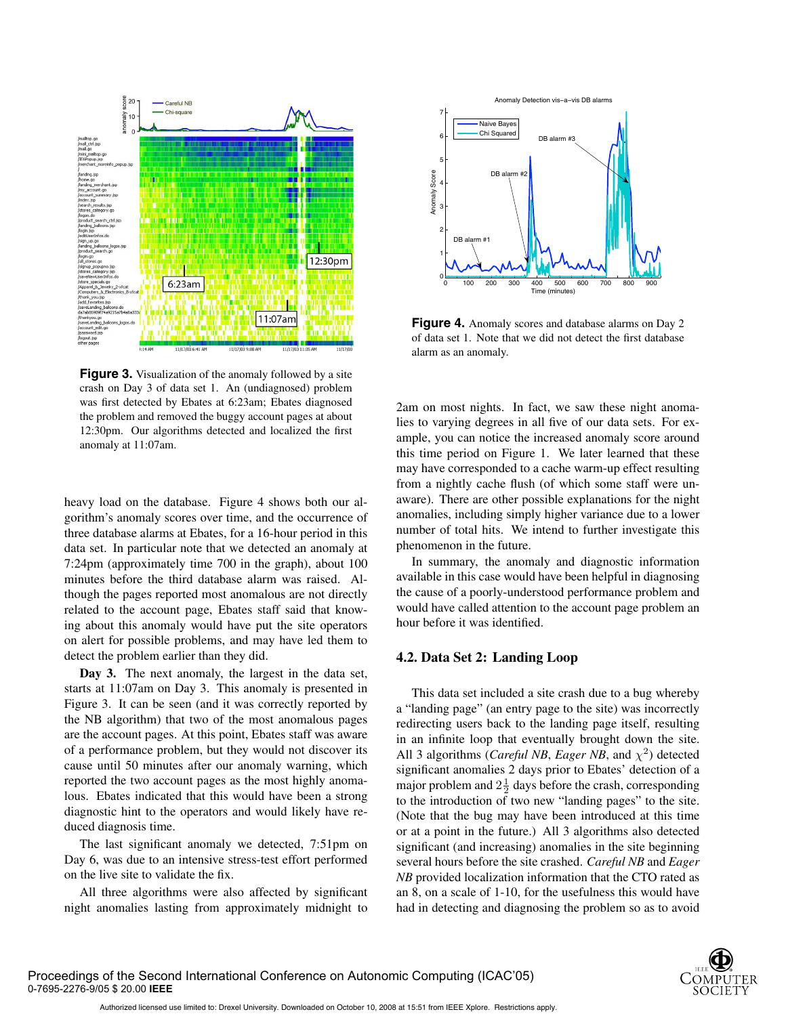

**Figure 3.** Visualization of the anomaly followed by a site crash on Day 3 of data set 1. An (undiagnosed) problem was first detected by Ebates at 6:23am; Ebates diagnosed the problem and removed the buggy account pages at about 12:30pm. Our algorithms detected and localized the first anomaly at 11:07am.

heavy load on the database. Figure 4 shows both our algorithm's anomaly scores over time, and the occurrence of three database alarms at Ebates, for a 16-hour period in this data set. In particular note that we detected an anomaly at 7:24pm (approximately time 700 in the graph), about 100 minutes before the third database alarm was raised. Although the pages reported most anomalous are not directly related to the account page, Ebates staff said that knowing about this anomaly would have put the site operators on alert for possible problems, and may have led them to detect the problem earlier than they did.

**Day 3.** The next anomaly, the largest in the data set, starts at 11:07am on Day 3. This anomaly is presented in Figure 3. It can be seen (and it was correctly reported by the NB algorithm) that two of the most anomalous pages are the account pages. At this point, Ebates staff was aware of a performance problem, but they would not discover its cause until 50 minutes after our anomaly warning, which reported the two account pages as the most highly anomalous. Ebates indicated that this would have been a strong diagnostic hint to the operators and would likely have reduced diagnosis time.

The last significant anomaly we detected, 7:51pm on Day 6, was due to an intensive stress-test effort performed on the live site to validate the fix.

All three algorithms were also affected by significant night anomalies lasting from approximately midnight to



**Figure 4.** Anomaly scores and database alarms on Day 2 of data set 1. Note that we did not detect the first database alarm as an anomaly.

2am on most nights. In fact, we saw these night anomalies to varying degrees in all five of our data sets. For example, you can notice the increased anomaly score around this time period on Figure 1. We later learned that these may have corresponded to a cache warm-up effect resulting from a nightly cache flush (of which some staff were unaware). There are other possible explanations for the night anomalies, including simply higher variance due to a lower number of total hits. We intend to further investigate this phenomenon in the future.

In summary, the anomaly and diagnostic information available in this case would have been helpful in diagnosing the cause of a poorly-understood performance problem and would have called attention to the account page problem an hour before it was identified.

#### **4.2. Data Set 2: Landing Loop**

This data set included a site crash due to a bug whereby a "landing page" (an entry page to the site) was incorrectly redirecting users back to the landing page itself, resulting in an infinite loop that eventually brought down the site. All 3 algorithms (*Careful NB*, *Eager NB*, and  $\chi^2$ ) detected significant anomalies 2 days prior to Ebates' detection of a major problem and  $2\frac{1}{2}$  days before the crash, corresponding to the introduction of two new "landing pages" to the site. (Note that the bug may have been introduced at this time or at a point in the future.) All 3 algorithms also detected significant (and increasing) anomalies in the site beginning several hours before the site crashed. *Careful NB* and *Eager NB* provided localization information that the CTO rated as an 8, on a scale of 1-10, for the usefulness this would have had in detecting and diagnosing the problem so as to avoid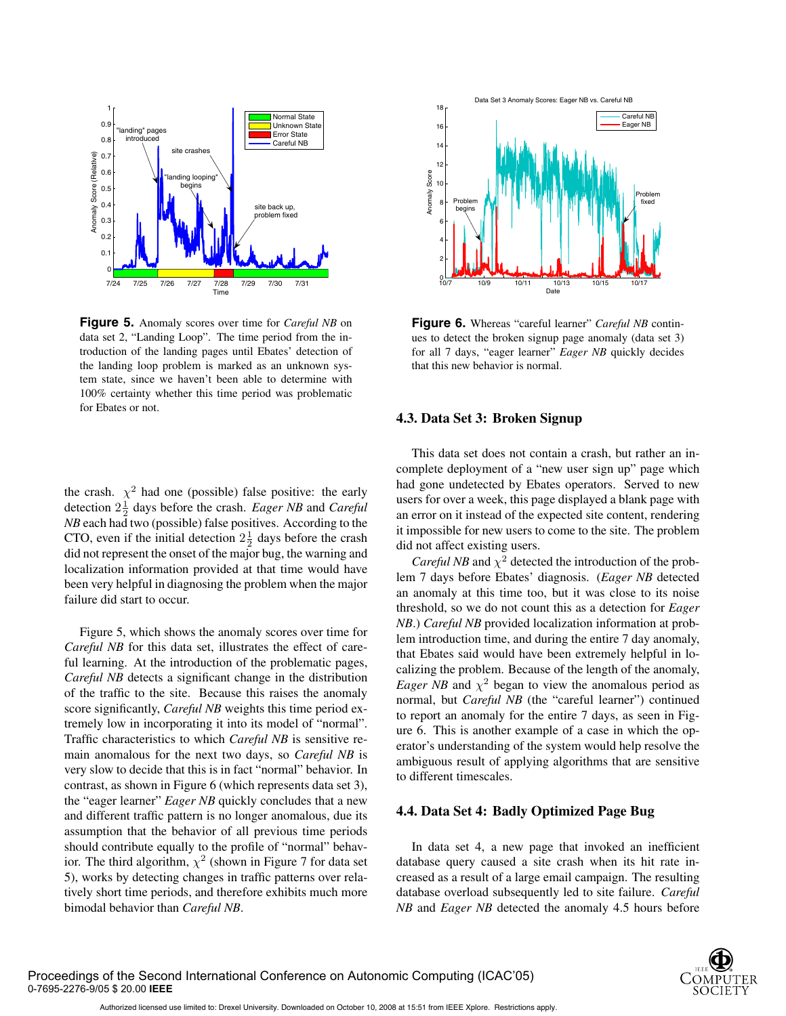

**Figure 5.** Anomaly scores over time for *Careful NB* on data set 2, "Landing Loop". The time period from the introduction of the landing pages until Ebates' detection of the landing loop problem is marked as an unknown system state, since we haven't been able to determine with 100% certainty whether this time period was problematic for Ebates or not.

the crash.  $\chi^2$  had one (possible) false positive: the early detection  $2\frac{1}{2}$  days before the crash. *Eager NB* and *Careful NB* each had two (possible) false positives. According to the CTO, even if the initial detection  $2\frac{1}{2}$  days before the crash did not represent the onset of the major bug, the warning and localization information provided at that time would have been very helpful in diagnosing the problem when the major failure did start to occur.

Figure 5, which shows the anomaly scores over time for *Careful NB* for this data set, illustrates the effect of careful learning. At the introduction of the problematic pages, *Careful NB* detects a significant change in the distribution of the traffic to the site. Because this raises the anomaly score significantly, *Careful NB* weights this time period extremely low in incorporating it into its model of "normal". Traffic characteristics to which *Careful NB* is sensitive remain anomalous for the next two days, so *Careful NB* is very slow to decide that this is in fact "normal" behavior. In contrast, as shown in Figure 6 (which represents data set 3), the "eager learner" *Eager NB* quickly concludes that a new and different traffic pattern is no longer anomalous, due its assumption that the behavior of all previous time periods should contribute equally to the profile of "normal" behavior. The third algorithm,  $\chi^2$  (shown in Figure 7 for data set 5), works by detecting changes in traffic patterns over relatively short time periods, and therefore exhibits much more bimodal behavior than *Careful NB*.



**Figure 6.** Whereas "careful learner" *Careful NB* continues to detect the broken signup page anomaly (data set 3) for all 7 days, "eager learner" *Eager NB* quickly decides that this new behavior is normal.

#### **4.3. Data Set 3: Broken Signup**

This data set does not contain a crash, but rather an incomplete deployment of a "new user sign up" page which had gone undetected by Ebates operators. Served to new users for over a week, this page displayed a blank page with an error on it instead of the expected site content, rendering it impossible for new users to come to the site. The problem did not affect existing users.

*Careful NB* and  $\chi^2$  detected the introduction of the problem 7 days before Ebates' diagnosis. (*Eager NB* detected an anomaly at this time too, but it was close to its noise threshold, so we do not count this as a detection for *Eager NB*.) *Careful NB* provided localization information at problem introduction time, and during the entire 7 day anomaly, that Ebates said would have been extremely helpful in localizing the problem. Because of the length of the anomaly, *Eager NB* and  $\chi^2$  began to view the anomalous period as normal, but *Careful NB* (the "careful learner") continued to report an anomaly for the entire 7 days, as seen in Figure 6. This is another example of a case in which the operator's understanding of the system would help resolve the ambiguous result of applying algorithms that are sensitive to different timescales.

#### **4.4. Data Set 4: Badly Optimized Page Bug**

In data set 4, a new page that invoked an inefficient database query caused a site crash when its hit rate increased as a result of a large email campaign. The resulting database overload subsequently led to site failure. *Careful NB* and *Eager NB* detected the anomaly 4.5 hours before



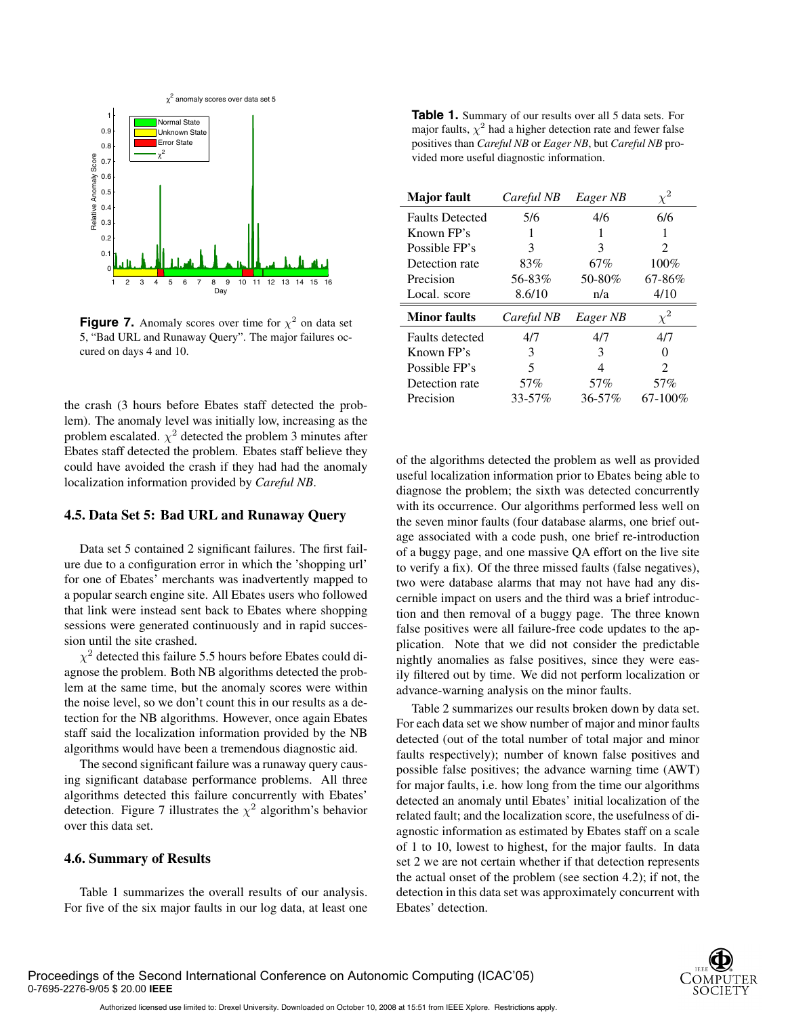

**Figure 7.** Anomaly scores over time for  $\chi^2$  on data set 5, "Bad URL and Runaway Query". The major failures occured on days 4 and 10.

the crash (3 hours before Ebates staff detected the problem). The anomaly level was initially low, increasing as the problem escalated.  $\chi^2$  detected the problem 3 minutes after Ebates staff detected the problem. Ebates staff believe they could have avoided the crash if they had had the anomaly localization information provided by *Careful NB*.

#### **4.5. Data Set 5: Bad URL and Runaway Query**

Data set 5 contained 2 significant failures. The first failure due to a configuration error in which the 'shopping url' for one of Ebates' merchants was inadvertently mapped to a popular search engine site. All Ebates users who followed that link were instead sent back to Ebates where shopping sessions were generated continuously and in rapid succession until the site crashed.

 $\chi^2$  detected this failure 5.5 hours before Ebates could diagnose the problem. Both NB algorithms detected the problem at the same time, but the anomaly scores were within the noise level, so we don't count this in our results as a detection for the NB algorithms. However, once again Ebates staff said the localization information provided by the NB algorithms would have been a tremendous diagnostic aid.

The second significant failure was a runaway query causing significant database performance problems. All three algorithms detected this failure concurrently with Ebates' detection. Figure 7 illustrates the  $\chi^2$  algorithm's behavior over this data set.

#### **4.6. Summary of Results**

Table 1 summarizes the overall results of our analysis. For five of the six major faults in our log data, at least one

**Table 1.** Summary of our results over all 5 data sets. For major faults,  $\chi^2$  had a higher detection rate and fewer false positives than *Careful NB* or *Eager NB*, but *Careful NB* provided more useful diagnostic information.

| <b>Major</b> fault     | Careful NB    | Eager NB | $\chi^2$                    |
|------------------------|---------------|----------|-----------------------------|
| <b>Faults Detected</b> | 5/6           | 4/6      | 6/6                         |
| Known FP's             | 1             |          | 1                           |
| Possible FP's          | 3             | 3        | $\mathcal{D}_{\mathcal{L}}$ |
| Detection rate         | 83%           | 67%      | 100%                        |
| Precision              | 56-83%        | 50-80%   | $67 - 86\%$                 |
| Local. score           | 8.6/10<br>n/a |          | 4/10                        |
|                        |               |          |                             |
| <b>Minor faults</b>    | Careful NB    | Eager NB | $\chi^2$                    |
| <b>Faults</b> detected | 4/7           | 4/7      | 4/7                         |
| Known FP's             | 3             | 3        | $_{0}$                      |
| Possible FP's          | 5             | 4        | 2                           |
| Detection rate         | 57%           | 57%      | 57%                         |

of the algorithms detected the problem as well as provided useful localization information prior to Ebates being able to diagnose the problem; the sixth was detected concurrently with its occurrence. Our algorithms performed less well on the seven minor faults (four database alarms, one brief outage associated with a code push, one brief re-introduction of a buggy page, and one massive QA effort on the live site to verify a fix). Of the three missed faults (false negatives), two were database alarms that may not have had any discernible impact on users and the third was a brief introduction and then removal of a buggy page. The three known false positives were all failure-free code updates to the application. Note that we did not consider the predictable nightly anomalies as false positives, since they were easily filtered out by time. We did not perform localization or advance-warning analysis on the minor faults.

Table 2 summarizes our results broken down by data set. For each data set we show number of major and minor faults detected (out of the total number of total major and minor faults respectively); number of known false positives and possible false positives; the advance warning time (AWT) for major faults, i.e. how long from the time our algorithms detected an anomaly until Ebates' initial localization of the related fault; and the localization score, the usefulness of diagnostic information as estimated by Ebates staff on a scale of 1 to 10, lowest to highest, for the major faults. In data set 2 we are not certain whether if that detection represents the actual onset of the problem (see section 4.2); if not, the detection in this data set was approximately concurrent with Ebates' detection.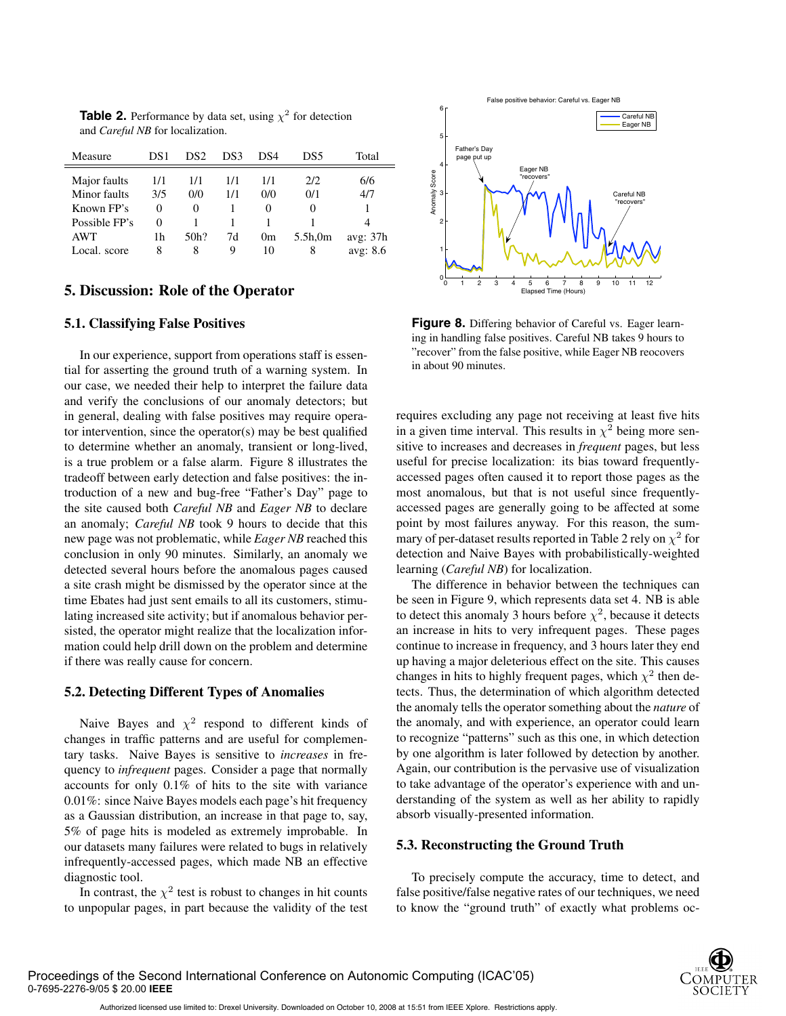**Table 2.** Performance by data set, using  $\chi^2$  for detection and *Careful NB* for localization.

| Measure       | DS1      | DS2      | DS3 | DS4      | DS5      | Total      |
|---------------|----------|----------|-----|----------|----------|------------|
| Major faults  | 1/1      | 1/1      | 1/1 | 1/1      | 2/2      | 6/6        |
| Minor faults  | 3/5      | 0/0      | 1/1 | 0/0      | 0/1      | 4/7        |
| Known FP's    | 0        | $\theta$ |     | $\theta$ | $\theta$ |            |
| Possible FP's | $\theta$ |          |     |          |          |            |
| <b>AWT</b>    | 1h       | 50h?     | 7d  | 0m       | 5.5h.0m  | avg: 37h   |
| Local, score  | 8        | 8        | 9   | 10       | 8        | avg: $8.6$ |

# **5. Discussion: Role of the Operator**

## **5.1. Classifying False Positives**

In our experience, support from operations staff is essential for asserting the ground truth of a warning system. In our case, we needed their help to interpret the failure data and verify the conclusions of our anomaly detectors; but in general, dealing with false positives may require operator intervention, since the operator(s) may be best qualified to determine whether an anomaly, transient or long-lived, is a true problem or a false alarm. Figure 8 illustrates the tradeoff between early detection and false positives: the introduction of a new and bug-free "Father's Day" page to the site caused both *Careful NB* and *Eager NB* to declare an anomaly; *Careful NB* took 9 hours to decide that this new page was not problematic, while *Eager NB* reached this conclusion in only 90 minutes. Similarly, an anomaly we detected several hours before the anomalous pages caused a site crash might be dismissed by the operator since at the time Ebates had just sent emails to all its customers, stimulating increased site activity; but if anomalous behavior persisted, the operator might realize that the localization information could help drill down on the problem and determine if there was really cause for concern.

# **5.2. Detecting Different Types of Anomalies**

Naive Bayes and  $\chi^2$  respond to different kinds of changes in traffic patterns and are useful for complementary tasks. Naive Bayes is sensitive to *increases* in frequency to *infrequent* pages. Consider a page that normally accounts for only 0.1% of hits to the site with variance 0.01%: since Naive Bayes models each page's hit frequency as a Gaussian distribution, an increase in that page to, say, 5% of page hits is modeled as extremely improbable. In our datasets many failures were related to bugs in relatively infrequently-accessed pages, which made NB an effective diagnostic tool.

In contrast, the  $\chi^2$  test is robust to changes in hit counts to unpopular pages, in part because the validity of the test



**Figure 8.** Differing behavior of Careful vs. Eager learning in handling false positives. Careful NB takes 9 hours to "recover" from the false positive, while Eager NB reocovers in about 90 minutes.

requires excluding any page not receiving at least five hits in a given time interval. This results in  $\chi^2$  being more sensitive to increases and decreases in *frequent* pages, but less useful for precise localization: its bias toward frequentlyaccessed pages often caused it to report those pages as the most anomalous, but that is not useful since frequentlyaccessed pages are generally going to be affected at some point by most failures anyway. For this reason, the summary of per-dataset results reported in Table 2 rely on  $\chi^2$  for detection and Naive Bayes with probabilistically-weighted learning (*Careful NB*) for localization.

The difference in behavior between the techniques can be seen in Figure 9, which represents data set 4. NB is able to detect this anomaly 3 hours before  $\chi^2$ , because it detects an increase in hits to very infrequent pages. These pages continue to increase in frequency, and 3 hours later they end up having a major deleterious effect on the site. This causes changes in hits to highly frequent pages, which  $\chi^2$  then detects. Thus, the determination of which algorithm detected the anomaly tells the operator something about the *nature* of the anomaly, and with experience, an operator could learn to recognize "patterns" such as this one, in which detection by one algorithm is later followed by detection by another. Again, our contribution is the pervasive use of visualization to take advantage of the operator's experience with and understanding of the system as well as her ability to rapidly absorb visually-presented information.

#### **5.3. Reconstructing the Ground Truth**

To precisely compute the accuracy, time to detect, and false positive/false negative rates of our techniques, we need to know the "ground truth" of exactly what problems oc-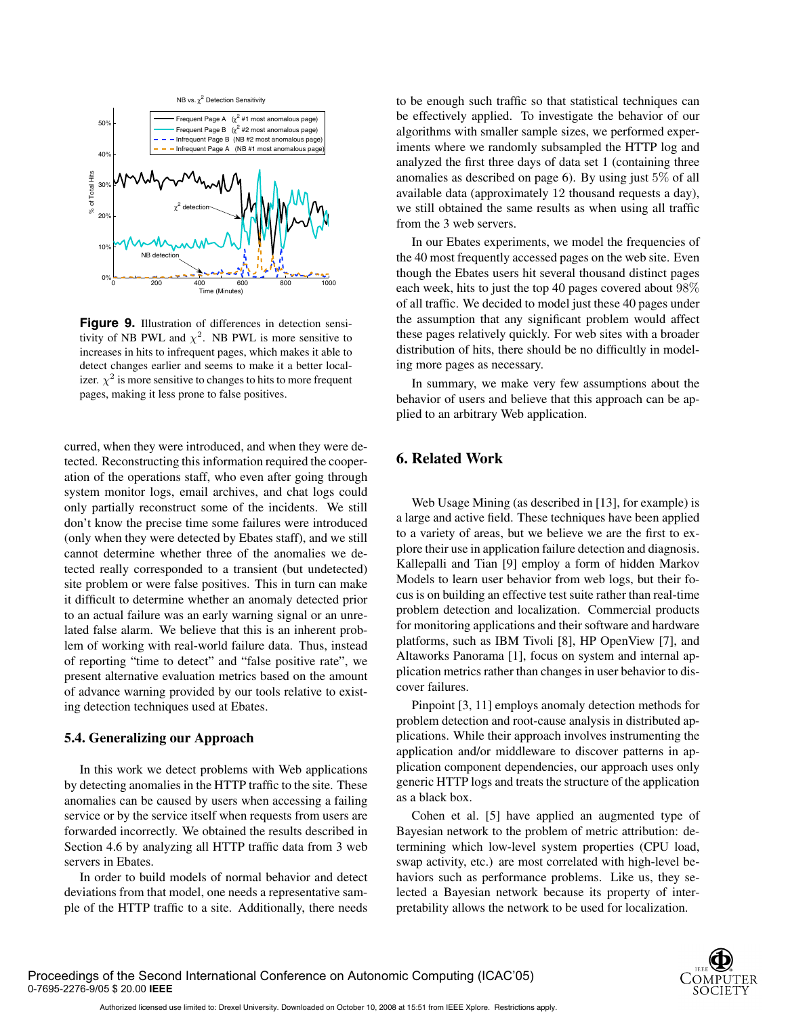

**Figure 9.** Illustration of differences in detection sensitivity of NB PWL and  $\chi^2$ . NB PWL is more sensitive to increases in hits to infrequent pages, which makes it able to detect changes earlier and seems to make it a better localizer.  $\chi^2$  is more sensitive to changes to hits to more frequent pages, making it less prone to false positives.

curred, when they were introduced, and when they were detected. Reconstructing this information required the cooperation of the operations staff, who even after going through system monitor logs, email archives, and chat logs could only partially reconstruct some of the incidents. We still don't know the precise time some failures were introduced (only when they were detected by Ebates staff), and we still cannot determine whether three of the anomalies we detected really corresponded to a transient (but undetected) site problem or were false positives. This in turn can make it difficult to determine whether an anomaly detected prior to an actual failure was an early warning signal or an unrelated false alarm. We believe that this is an inherent problem of working with real-world failure data. Thus, instead of reporting "time to detect" and "false positive rate", we present alternative evaluation metrics based on the amount of advance warning provided by our tools relative to existing detection techniques used at Ebates.

#### **5.4. Generalizing our Approach**

In this work we detect problems with Web applications by detecting anomalies in the HTTP traffic to the site. These anomalies can be caused by users when accessing a failing service or by the service itself when requests from users are forwarded incorrectly. We obtained the results described in Section 4.6 by analyzing all HTTP traffic data from 3 web servers in Ebates.

In order to build models of normal behavior and detect deviations from that model, one needs a representative sample of the HTTP traffic to a site. Additionally, there needs to be enough such traffic so that statistical techniques can be effectively applied. To investigate the behavior of our algorithms with smaller sample sizes, we performed experiments where we randomly subsampled the HTTP log and analyzed the first three days of data set 1 (containing three anomalies as described on page 6). By using just 5% of all available data (approximately 12 thousand requests a day), we still obtained the same results as when using all traffic from the 3 web servers.

In our Ebates experiments, we model the frequencies of the 40 most frequently accessed pages on the web site. Even though the Ebates users hit several thousand distinct pages each week, hits to just the top 40 pages covered about 98% of all traffic. We decided to model just these 40 pages under the assumption that any significant problem would affect these pages relatively quickly. For web sites with a broader distribution of hits, there should be no difficultly in modeling more pages as necessary.

In summary, we make very few assumptions about the behavior of users and believe that this approach can be applied to an arbitrary Web application.

# **6. Related Work**

Web Usage Mining (as described in [13], for example) is a large and active field. These techniques have been applied to a variety of areas, but we believe we are the first to explore their use in application failure detection and diagnosis. Kallepalli and Tian [9] employ a form of hidden Markov Models to learn user behavior from web logs, but their focus is on building an effective test suite rather than real-time problem detection and localization. Commercial products for monitoring applications and their software and hardware platforms, such as IBM Tivoli [8], HP OpenView [7], and Altaworks Panorama [1], focus on system and internal application metrics rather than changes in user behavior to discover failures.

Pinpoint [3, 11] employs anomaly detection methods for problem detection and root-cause analysis in distributed applications. While their approach involves instrumenting the application and/or middleware to discover patterns in application component dependencies, our approach uses only generic HTTP logs and treats the structure of the application as a black box.

Cohen et al. [5] have applied an augmented type of Bayesian network to the problem of metric attribution: determining which low-level system properties (CPU load, swap activity, etc.) are most correlated with high-level behaviors such as performance problems. Like us, they selected a Bayesian network because its property of interpretability allows the network to be used for localization.

Proceedings of the Second International Conference on Autonomic Computing (ICAC'05) 0-7695-2276-9/05 \$ 20.00 **IEEE**